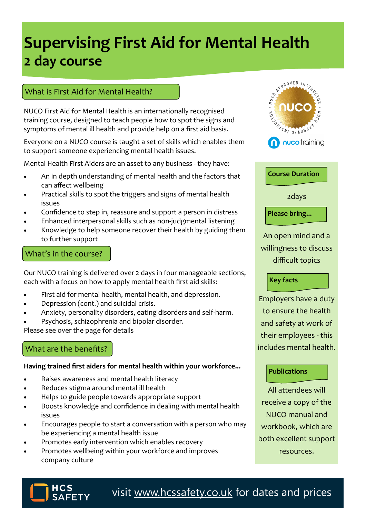# **Supervising First Aid for Mental Health 2 day course**

## What is First Aid for Mental Health?

NUCO First Aid for Mental Health is an internationally recognised training course, designed to teach people how to spot the signs and symptoms of mental ill health and provide help on a first aid basis.

Everyone on a NUCO course is taught a set of skills which enables them to support someone experiencing mental health issues.

Mental Health First Aiders are an asset to any business - they have:

- An in depth understanding of mental health and the factors that can affect wellbeing
- Practical skills to spot the triggers and signs of mental health issues
- Confidence to step in, reassure and support a person in distress
- Enhanced interpersonal skills such as non-judgmental listening
- Knowledge to help someone recover their health by guiding them to further support

## What's in the course?

Our NUCO training is delivered over 2 days in four manageable sections, each with a focus on how to apply mental health first aid skills:

- First aid for mental health, mental health, and depression.
- Depression (cont.) and suicidal crisis.
- Anxiety, personality disorders, eating disorders and self-harm.
- Psychosis, schizophrenia and bipolar disorder.

Please see over the page for details

# What are the benefits?

#### **Having trained first aiders for mental health within your workforce...**

- Raises awareness and mental health literacy
- Reduces stigma around mental ill health
- Helps to guide people towards appropriate support
- Boosts knowledge and confidence in dealing with mental health issues
- Encourages people to start a conversation with a person who may be experiencing a mental health issue
- Promotes early intervention which enables recovery
- Promotes wellbeing within your workforce and improves company culture





2days

# **Please bring...**

An open mind and a willingness to discuss difficult topics

### **Key facts**

Employers have a duty to ensure the health and safety at work of their employees - this includes mental health.

### **Publications**

All attendees will receive a copy of the NUCO manual and workbook, which are both excellent support resources.